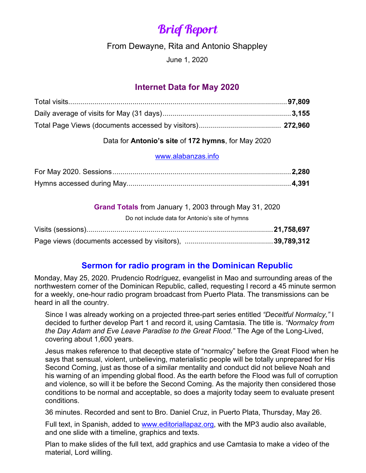# Brief Report

From Dewayne, Rita and Antonio Shappley

June 1, 2020

## **Internet Data for May 2020**

### Data for **Antonio's site** of **172 hymns**, for May 2020

#### [www.alabanzas.info](http://www.alabanzas.info/)

| Grand Totals from January 1, 2003 through May 31, 2020 |  |
|--------------------------------------------------------|--|
| Do not include data for Antonio's site of hymns        |  |
|                                                        |  |
|                                                        |  |

# **Sermon for radio program in the Dominican Republic**

Monday, May 25, 2020. Prudencio Rodríguez, evangelist in Mao and surrounding areas of the northwestern corner of the Dominican Republic, called, requesting I record a 45 minute sermon for a weekly, one-hour radio program broadcast from Puerto Plata. The transmissions can be heard in all the country.

Since I was already working on a projected three-part series entitled *"Deceitful Normalcy,"* I decided to further develop Part 1 and record it, using Camtasia. The title is. *"Normalcy from the Day Adam and Eve Leave Paradise to the Great Flood."* The Age of the Long-Lived, covering about 1,600 years.

Jesus makes reference to that deceptive state of "normalcy" before the Great Flood when he says that sensual, violent, unbelieving, materialistic people will be totally unprepared for His Second Coming, just as those of a similar mentality and conduct did not believe Noah and his warning of an impending global flood. As the earth before the Flood was full of corruption and violence, so will it be before the Second Coming. As the majority then considered those conditions to be normal and acceptable, so does a majority today seem to evaluate present conditions.

36 minutes. Recorded and sent to Bro. Daniel Cruz, in Puerto Plata, Thursday, May 26.

Full text, in Spanish, added to [www.editoriallapaz.org,](http://www.editoriallapaz.org/) with the MP3 audio also available, and one slide with a timeline, graphics and texts.

Plan to make slides of the full text, add graphics and use Camtasia to make a video of the material, Lord willing.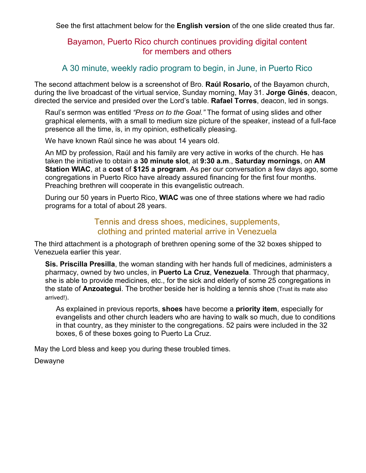See the first attachment below for the **English version** of the one slide created thus far.

### Bayamon, Puerto Rico church continues providing digital content for members and others

### A 30 minute, weekly radio program to begin, in June, in Puerto Rico

The second attachment below is a screenshot of Bro. **Raúl Rosario,** of the Bayamon church, during the live broadcast of the virtual service, Sunday morning, May 31. **Jorge Ginés**, deacon, directed the service and presided over the Lord's table. **Rafael Torres**, deacon, led in songs.

Raul's sermon was entitled *"Press on to the Goal."* The format of using slides and other graphical elements, with a small to medium size picture of the speaker, instead of a full-face presence all the time, is, in my opinion, esthetically pleasing.

We have known Raúl since he was about 14 years old.

An MD by profession, Raúl and his family are very active in works of the church. He has taken the initiative to obtain a **30 minute slot**, at **9:30 a.m**., **Saturday mornings**, on **AM Station WIAC**, at a **cost** of **\$125 a program**. As per our conversation a few days ago, some congregations in Puerto Rico have already assured financing for the first four months. Preaching brethren will cooperate in this evangelistic outreach.

During our 50 years in Puerto Rico, **WIAC** was one of three stations where we had radio programs for a total of about 28 years.

#### Tennis and dress shoes, medicines, supplements, clothing and printed material arrive in Venezuela

The third attachment is a photograph of brethren opening some of the 32 boxes shipped to Venezuela earlier this year.

**Sis. Priscilla Presilla**, the woman standing with her hands full of medicines, administers a pharmacy, owned by two uncles, in **Puerto La Cruz**, **Venezuela**. Through that pharmacy, she is able to provide medicines, etc., for the sick and elderly of some 25 congregations in the state of **Anzoategui**. The brother beside her is holding a tennis shoe (Trust its mate also arrived!).

As explained in previous reports, **shoes** have become a **priority item**, especially for evangelists and other church leaders who are having to walk so much, due to conditions in that country, as they minister to the congregations. 52 pairs were included in the 32 boxes, 6 of these boxes going to Puerto La Cruz.

May the Lord bless and keep you during these troubled times.

Dewayne